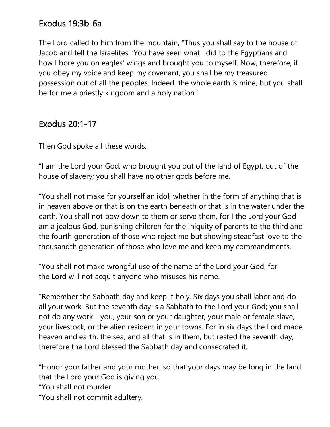## Exodus 19:3b-6a

The Lord called to him from the mountain, "Thus you shall say to the house of Jacob and tell the Israelites: 'You have seen what I did to the Egyptians and how I bore you on eagles' wings and brought you to myself. Now, therefore, if you obey my voice and keep my covenant, you shall be my treasured possession out of all the peoples. Indeed, the whole earth is mine, but you shall be for me a priestly kingdom and a holy nation.'

## Exodus 20:1-17

Then God spoke all these words,

"I am the Lord your God, who brought you out of the land of Egypt, out of the house of slavery; you shall have no other gods before me.

"You shall not make for yourself an idol, whether in the form of anything that is in heaven above or that is on the earth beneath or that is in the water under the earth. You shall not bow down to them or serve them, for I the Lord your God am a jealous God, punishing children for the iniquity of parents to the third and the fourth generation of those who reject me but showing steadfast love to the thousandth generation of those who love me and keep my commandments.

"You shall not make wrongful use of the name of the Lord your God, for the Lord will not acquit anyone who misuses his name.

"Remember the Sabbath day and keep it holy. Six days you shall labor and do all your work. But the seventh day is a Sabbath to the Lord your God; you shall not do any work—you, your son or your daughter, your male or female slave, your livestock, or the alien resident in your towns. For in six days the Lord made heaven and earth, the sea, and all that is in them, but rested the seventh day; therefore the Lord blessed the Sabbath day and consecrated it.

"Honor your father and your mother, so that your days may be long in the land that the Lord your God is giving you.

"You shall not murder.

"You shall not commit adultery.